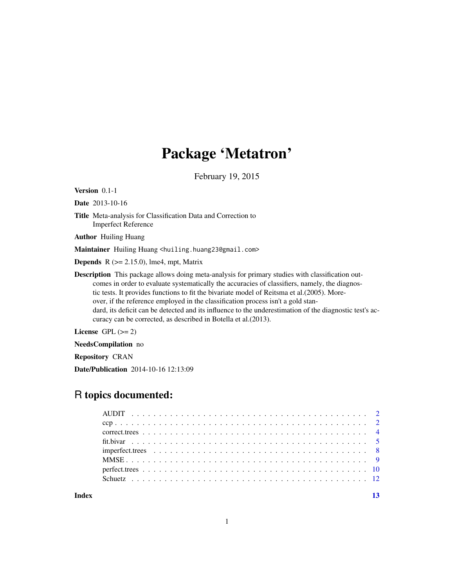# Package 'Metatron'

February 19, 2015

<span id="page-0-0"></span>Version 0.1-1

Date 2013-10-16

Title Meta-analysis for Classification Data and Correction to Imperfect Reference

Author Huiling Huang

Maintainer Huiling Huang <huiling.huang23@gmail.com>

**Depends** R  $(>= 2.15.0)$ , lme4, mpt, Matrix

Description This package allows doing meta-analysis for primary studies with classification outcomes in order to evaluate systematically the accuracies of classifiers, namely, the diagnostic tests. It provides functions to fit the bivariate model of Reitsma et al.(2005). Moreover, if the reference employed in the classification process isn't a gold standard, its deficit can be detected and its influence to the underestimation of the diagnostic test's accuracy can be corrected, as described in Botella et al.(2013).

License GPL  $(>= 2)$ 

NeedsCompilation no

Repository CRAN

Date/Publication 2014-10-16 12:13:09

# R topics documented:

| Index |  |  |  |  |  |  |  |  |  |  |  |  |  |  |
|-------|--|--|--|--|--|--|--|--|--|--|--|--|--|--|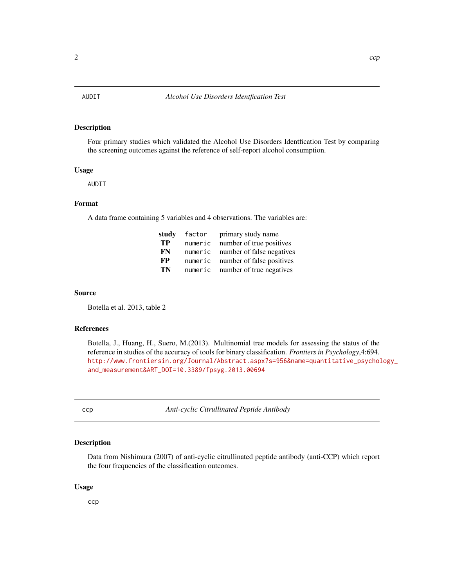#### <span id="page-1-0"></span>Description

Four primary studies which validated the Alcohol Use Disorders Identfication Test by comparing the screening outcomes against the reference of self-report alcohol consumption.

#### Usage

AUDIT

# Format

A data frame containing 5 variables and 4 observations. The variables are:

| studv | factor  | primary study name        |
|-------|---------|---------------------------|
| TP    | numeric | number of true positives  |
| FN    | numeric | number of false negatives |
| FP    | numeric | number of false positives |
| TN    | numeric | number of true negatives  |

#### Source

Botella et al. 2013, table 2

# References

Botella, J., Huang, H., Suero, M.(2013). Multinomial tree models for assessing the status of the reference in studies of the accuracy of tools for binary classification. *Frontiers in Psychology*,4:694. [http://www.frontiersin.org/Journal/Abstract.aspx?s=956&name=quantitative\\_psychol](http://www.frontiersin.org/Journal/Abstract.aspx? s=956&name=quantitative_psychology_and_measurement&ART_DOI=10.3389/fpsyg.2013.00694)ogy\_ [and\\_measurement&ART\\_DOI=10.3389/fpsyg.2013.00694](http://www.frontiersin.org/Journal/Abstract.aspx? s=956&name=quantitative_psychology_and_measurement&ART_DOI=10.3389/fpsyg.2013.00694)

ccp *Anti-cyclic Citrullinated Peptide Antibody*

#### Description

Data from Nishimura (2007) of anti-cyclic citrullinated peptide antibody (anti-CCP) which report the four frequencies of the classification outcomes.

#### Usage

ccp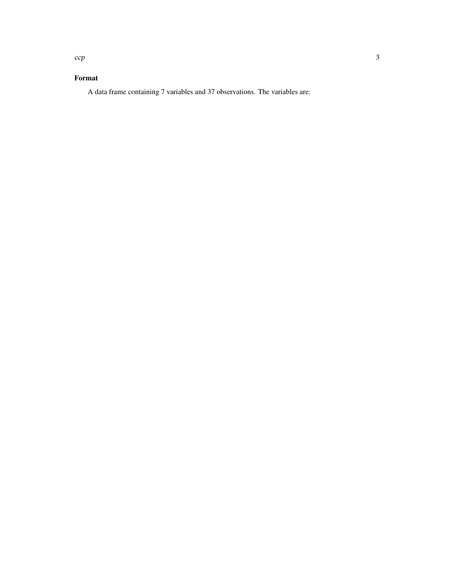# Format

A data frame containing 7 variables and 37 observations. The variables are: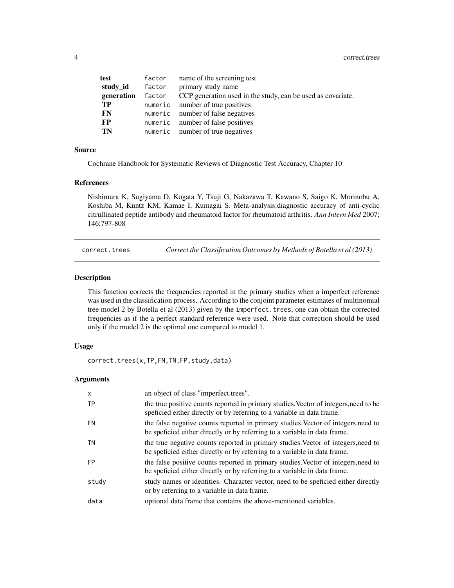<span id="page-3-0"></span>

| test       | factor | name of the screening test                                  |
|------------|--------|-------------------------------------------------------------|
| study_id   | factor | primary study name                                          |
| generation | factor | CCP generation used in the study, can be used as covariate. |
| TP         |        | numeric number of true positives                            |
| FN.        |        | numeric number of false negatives                           |
| <b>FP</b>  |        | numeric number of false positives                           |
| TN         |        | numeric number of true negatives                            |

#### Source

Cochrane Handbook for Systematic Reviews of Diagnostic Test Accuracy, Chapter 10

# References

Nishimura K, Sugiyama D, Kogata Y, Tsuji G, Nakazawa T, Kawano S, Saigo K, Morinobu A, Koshiba M, Kuntz KM, Kamae I, Kumagai S. Meta-analysis:diagnostic accuracy of anti-cyclic citrullinated peptide antibody and rheumatoid factor for rheumatoid arthritis. *Ann Intern Med* 2007; 146:797-808

correct.trees *Correct the Classification Outcomes by Methods of Botella et al (2013)*

# Description

This function corrects the frequencies reported in the primary studies when a imperfect reference was used in the classification process. According to the conjoint parameter estimates of multinomial tree model 2 by Botella et al (2013) given by the imperfect. trees, one can obtain the corrected frequencies as if the a perfect standard reference were used. Note that correction should be used only if the model 2 is the optimal one compared to model 1.

# Usage

correct.trees(x,TP,FN,TN,FP,study,data)

# Arguments

| $\mathsf{x}$ | an object of class "imperfect.trees".                                                                                                                           |
|--------------|-----------------------------------------------------------------------------------------------------------------------------------------------------------------|
| <b>TP</b>    | the true positive counts reported in primary studies. Vector of integers, need to be<br>speficied either directly or by referring to a variable in data frame.  |
| FN           | the false negative counts reported in primary studies. Vector of integers, need to<br>be speficied either directly or by referring to a variable in data frame. |
| TN           | the true negative counts reported in primary studies. Vector of integers, need to<br>be speficied either directly or by referring to a variable in data frame.  |
| <b>FP</b>    | the false positive counts reported in primary studies. Vector of integers, need to<br>be speficied either directly or by referring to a variable in data frame. |
| study        | study names or identities. Character vector, need to be speficied either directly<br>or by referring to a variable in data frame.                               |
| data         | optional data frame that contains the above-mentioned variables.                                                                                                |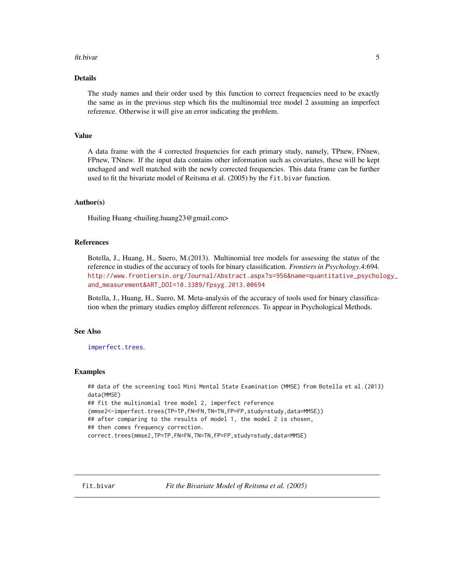#### <span id="page-4-0"></span>fit.bivar 5

# Details

The study names and their order used by this function to correct frequencies need to be exactly the same as in the previous step which fits the multinomial tree model 2 assuming an imperfect reference. Otherwise it will give an error indicating the problem.

# Value

A data frame with the 4 corrected frequencies for each primary study, namely, TPnew, FNnew, FPnew, TNnew. If the input data contains other information such as covariates, these will be kept unchaged and well matched with the newly corrected frequencies. This data frame can be further used to fit the bivariate model of Reitsma et al. (2005) by the fit.bivar function.

# Author(s)

Huiling Huang <huiling.huang23@gmail.com>

# References

Botella, J., Huang, H., Suero, M.(2013). Multinomial tree models for assessing the status of the reference in studies of the accuracy of tools for binary classification. *Frontiers in Psychology*.4:694. [http://www.frontiersin.org/Journal/Abstract.aspx?s=956&name=quantitative\\_psychol](http://www.frontiersin.org/Journal/Abstract.aspx?s=956&name=quantitative_psychology_and_measurement&ART_DOI=10.3389/fpsyg.2013.00694)ogy\_ [and\\_measurement&ART\\_DOI=10.3389/fpsyg.2013.00694](http://www.frontiersin.org/Journal/Abstract.aspx?s=956&name=quantitative_psychology_and_measurement&ART_DOI=10.3389/fpsyg.2013.00694)

Botella, J., Huang, H., Suero, M. Meta-analysis of the accuracy of tools used for binary classification when the primary studies employ different references. To appear in Psychological Methods.

# See Also

[imperfect.trees](#page-7-1).

# Examples

```
## data of the screening tool Mini Mental State Examination (MMSE) from Botella et al.(2013)
data(MMSE)
## fit the multinomial tree model 2, imperfect reference
(mmse2<-imperfect.trees(TP=TP,FN=FN,TN=TN,FP=FP,study=study,data=MMSE))
## after comparing to the results of model 1, the model 2 is chosen,
## then comes frequency correction.
correct.trees(mmse2,TP=TP,FN=FN,TN=TN,FP=FP,study=study,data=MMSE)
```
fit.bivar *Fit the Bivariate Model of Reitsma et al. (2005)*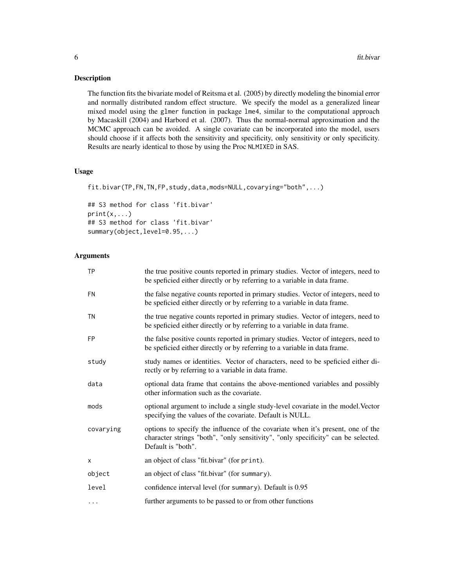# Description

The function fits the bivariate model of Reitsma et al. (2005) by directly modeling the binomial error and normally distributed random effect structure. We specify the model as a generalized linear mixed model using the glmer function in package lme4, similar to the computational approach by Macaskill (2004) and Harbord et al. (2007). Thus the normal-normal approximation and the MCMC approach can be avoided. A single covariate can be incorporated into the model, users should choose if it affects both the sensitivity and specificity, only sensitivity or only specificity. Results are nearly identical to those by using the Proc NLMIXED in SAS.

# Usage

```
fit.bivar(TP,FN,TN,FP,study,data,mods=NULL,covarying="both",...)
```
## S3 method for class 'fit.bivar'  $print(x, \ldots)$ ## S3 method for class 'fit.bivar' summary(object,level=0.95,...)

# Arguments

| <b>TP</b> | the true positive counts reported in primary studies. Vector of integers, need to<br>be speficied either directly or by referring to a variable in data frame.                             |
|-----------|--------------------------------------------------------------------------------------------------------------------------------------------------------------------------------------------|
| <b>FN</b> | the false negative counts reported in primary studies. Vector of integers, need to<br>be speficied either directly or by referring to a variable in data frame.                            |
| TN        | the true negative counts reported in primary studies. Vector of integers, need to<br>be speficied either directly or by referring to a variable in data frame.                             |
| <b>FP</b> | the false positive counts reported in primary studies. Vector of integers, need to<br>be speficied either directly or by referring to a variable in data frame.                            |
| study     | study names or identities. Vector of characters, need to be speficied either di-<br>rectly or by referring to a variable in data frame.                                                    |
| data      | optional data frame that contains the above-mentioned variables and possibly<br>other information such as the covariate.                                                                   |
| mods      | optional argument to include a single study-level covariate in the model. Vector<br>specifying the values of the covariate. Default is NULL.                                               |
| covarying | options to specify the influence of the covariate when it's present, one of the<br>character strings "both", "only sensitivity", "only specificity" can be selected.<br>Default is "both". |
| $\times$  | an object of class "fit.bivar" (for print).                                                                                                                                                |
| object    | an object of class "fit.bivar" (for summary).                                                                                                                                              |
| level     | confidence interval level (for summary). Default is 0.95                                                                                                                                   |
|           | further arguments to be passed to or from other functions                                                                                                                                  |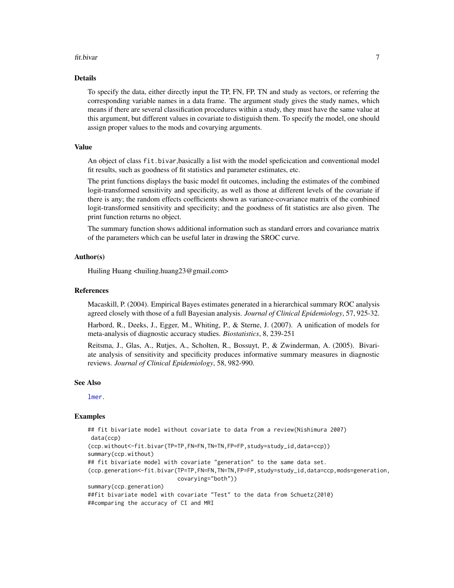#### <span id="page-6-0"></span>fit.bivar 7

# Details

To specify the data, either directly input the TP, FN, FP, TN and study as vectors, or referring the corresponding variable names in a data frame. The argument study gives the study names, which means if there are several classification procedures within a study, they must have the same value at this argument, but different values in covariate to distiguish them. To specify the model, one should assign proper values to the mods and covarying arguments.

#### Value

An object of class fit.bivar,basically a list with the model speficication and conventional model fit results, such as goodness of fit statistics and parameter estimates, etc.

The print functions displays the basic model fit outcomes, including the estimates of the combined logit-transformed sensitivity and specificity, as well as those at different levels of the covariate if there is any; the random effects coefficients shown as variance-covariance matrix of the combined logit-transformed sensitivity and specificity; and the goodness of fit statistics are also given. The print function returns no object.

The summary function shows additional information such as standard errors and covariance matrix of the parameters which can be useful later in drawing the SROC curve.

# Author(s)

Huiling Huang <huiling.huang23@gmail.com>

#### References

Macaskill, P. (2004). Empirical Bayes estimates generated in a hierarchical summary ROC analysis agreed closely with those of a full Bayesian analysis. *Journal of Clinical Epidemiology*, 57, 925-32.

Harbord, R., Deeks, J., Egger, M., Whiting, P., & Sterne, J. (2007). A unification of models for meta-analysis of diagnostic accuracy studies. *Biostatistics*, 8, 239-251

Reitsma, J., Glas, A., Rutjes, A., Scholten, R., Bossuyt, P., & Zwinderman, A. (2005). Bivariate analysis of sensitivity and specificity produces informative summary measures in diagnostic reviews. *Journal of Clinical Epidemiology*, 58, 982-990.

#### See Also

[lmer](#page-0-0).

# Examples

```
## fit bivariate model without covariate to data from a review(Nishimura 2007)
data(ccp)
(ccp.without<-fit.bivar(TP=TP,FN=FN,TN=TN,FP=FP,study=study_id,data=ccp))
summary(ccp.without)
## fit bivariate model with covariate "generation" to the same data set.
(ccp.generation<-fit.bivar(TP=TP,FN=FN,TN=TN,FP=FP,study=study_id,data=ccp,mods=generation,
                          covarying="both"))
summary(ccp.generation)
##fit bivariate model with covariate "Test" to the data from Schuetz(2010)
##comparing the accuracy of CI and MRI
```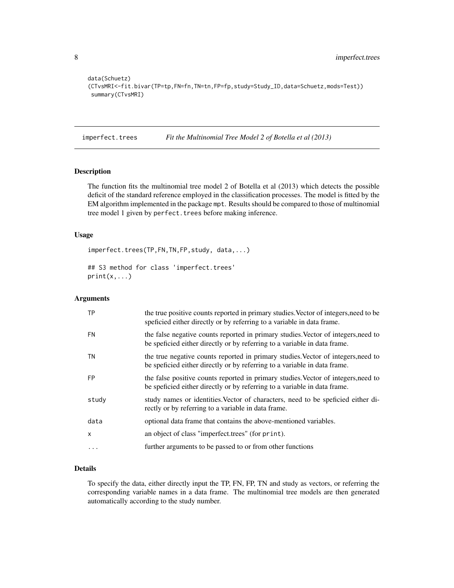<span id="page-7-0"></span>8 imperfect.trees

```
data(Schuetz)
(CTvsMRI<-fit.bivar(TP=tp,FN=fn,TN=tn,FP=fp,study=Study_ID,data=Schuetz,mods=Test))
summary(CTvsMRI)
```
<span id="page-7-1"></span>imperfect.trees *Fit the Multinomial Tree Model 2 of Botella et al (2013)*

# Description

The function fits the multinomial tree model 2 of Botella et al (2013) which detects the possible deficit of the standard reference employed in the classification processes. The model is fitted by the EM algorithm implemented in the package mpt. Results should be compared to those of multinomial tree model 1 given by perfect. trees before making inference.

# Usage

imperfect.trees(TP,FN,TN,FP,study, data,...)

## S3 method for class 'imperfect.trees'  $print(x, \ldots)$ 

# Arguments

| <b>TP</b> | the true positive counts reported in primary studies. Vector of integers, need to be<br>spericied either directly or by referring to a variable in data frame.  |
|-----------|-----------------------------------------------------------------------------------------------------------------------------------------------------------------|
| <b>FN</b> | the false negative counts reported in primary studies. Vector of integers, need to<br>be speficied either directly or by referring to a variable in data frame. |
| ΤN        | the true negative counts reported in primary studies. Vector of integers, need to<br>be speficied either directly or by referring to a variable in data frame.  |
| <b>FP</b> | the false positive counts reported in primary studies. Vector of integers, need to<br>be speficied either directly or by referring to a variable in data frame. |
| study     | study names or identities. Vector of characters, need to be speficied either di-<br>rectly or by referring to a variable in data frame.                         |
| data      | optional data frame that contains the above-mentioned variables.                                                                                                |
| x         | an object of class "imperfect.trees" (for print).                                                                                                               |
|           | further arguments to be passed to or from other functions                                                                                                       |

#### Details

To specify the data, either directly input the TP, FN, FP, TN and study as vectors, or referring the corresponding variable names in a data frame. The multinomial tree models are then generated automatically according to the study number.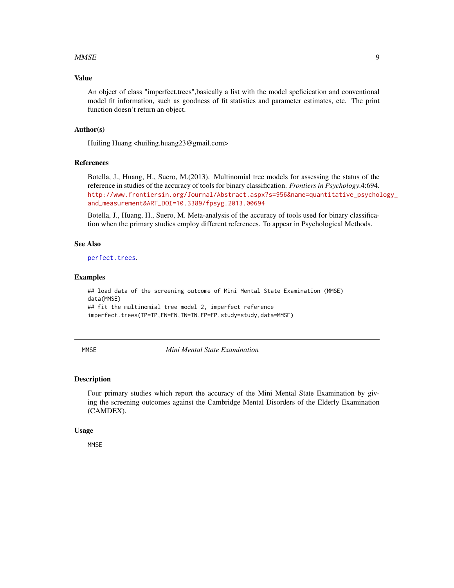#### <span id="page-8-0"></span>MMSE 9

# Value

An object of class "imperfect.trees",basically a list with the model speficication and conventional model fit information, such as goodness of fit statistics and parameter estimates, etc. The print function doesn't return an object.

# Author(s)

Huiling Huang <huiling.huang23@gmail.com>

# References

Botella, J., Huang, H., Suero, M.(2013). Multinomial tree models for assessing the status of the reference in studies of the accuracy of tools for binary classification. *Frontiers in Psychology*.4:694. [http://www.frontiersin.org/Journal/Abstract.aspx?s=956&name=quantitative\\_psychol](http://www.frontiersin.org/Journal/Abstract.aspx?s=956&name=quantitative_psychology_and_measurement&ART_DOI=10.3389/fpsyg.2013.00694)ogy\_ [and\\_measurement&ART\\_DOI=10.3389/fpsyg.2013.00694](http://www.frontiersin.org/Journal/Abstract.aspx?s=956&name=quantitative_psychology_and_measurement&ART_DOI=10.3389/fpsyg.2013.00694)

Botella, J., Huang, H., Suero, M. Meta-analysis of the accuracy of tools used for binary classification when the primary studies employ different references. To appear in Psychological Methods.

# See Also

[perfect.trees](#page-9-1).

# Examples

## load data of the screening outcome of Mini Mental State Examination (MMSE) data(MMSE) ## fit the multinomial tree model 2, imperfect reference imperfect.trees(TP=TP,FN=FN,TN=TN,FP=FP,study=study,data=MMSE)

MMSE *Mini Mental State Examination*

# Description

Four primary studies which report the accuracy of the Mini Mental State Examination by giving the screening outcomes against the Cambridge Mental Disorders of the Elderly Examination (CAMDEX).

#### Usage

**MMSE**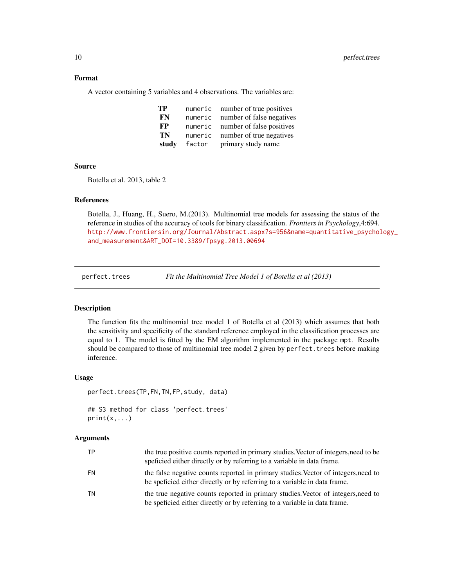# <span id="page-9-0"></span>Format

A vector containing 5 variables and 4 observations. The variables are:

| TP    | numeric | number of true positives  |
|-------|---------|---------------------------|
| FN    | numeric | number of false negatives |
| FP    | numeric | number of false positives |
| TN    | numeric | number of true negatives  |
| study | factor  | primary study name        |

#### Source

Botella et al. 2013, table 2

# References

Botella, J., Huang, H., Suero, M.(2013). Multinomial tree models for assessing the status of the reference in studies of the accuracy of tools for binary classification. *Frontiers in Psychology*,4:694. [http://www.frontiersin.org/Journal/Abstract.aspx?s=956&name=quantitative\\_psychol](http://www.frontiersin.org/Journal/Abstract.aspx? s=956&name=quantitative_psychology_and_measurement&ART_DOI=10.3389/fpsyg.2013.00694)ogy\_ [and\\_measurement&ART\\_DOI=10.3389/fpsyg.2013.00694](http://www.frontiersin.org/Journal/Abstract.aspx? s=956&name=quantitative_psychology_and_measurement&ART_DOI=10.3389/fpsyg.2013.00694)

<span id="page-9-1"></span>perfect.trees *Fit the Multinomial Tree Model 1 of Botella et al (2013)*

#### Description

The function fits the multinomial tree model 1 of Botella et al (2013) which assumes that both the sensitivity and specificity of the standard reference employed in the classification processes are equal to 1. The model is fitted by the EM algorithm implemented in the package mpt. Results should be compared to those of multinomial tree model 2 given by perfect. trees before making inference.

### Usage

```
perfect.trees(TP,FN,TN,FP,study, data)
```

```
## S3 method for class 'perfect.trees'
print(x, \ldots)
```
#### Arguments

|    | the true positive counts reported in primary studies. Vector of integers, need to be<br>spericing to a variable in data frame.                                  |
|----|-----------------------------------------------------------------------------------------------------------------------------------------------------------------|
| FN | the false negative counts reported in primary studies. Vector of integers, need to<br>be spericial either directly or by referring to a variable in data frame. |
| ΤN | the true negative counts reported in primary studies. Vector of integers, need to<br>be speficied either directly or by referring to a variable in data frame.  |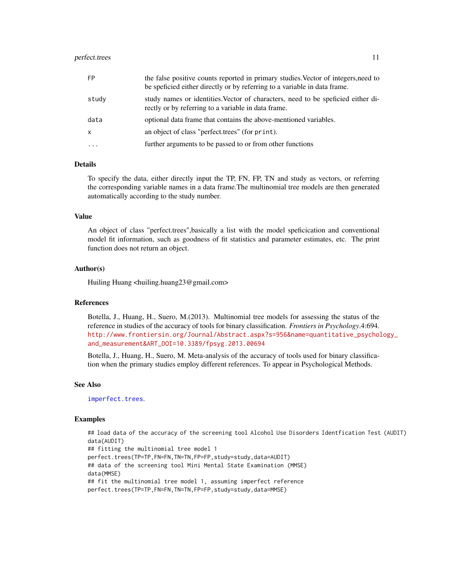#### <span id="page-10-0"></span>perfect.trees and the set of the set of the set of the set of the set of the set of the set of the set of the set of the set of the set of the set of the set of the set of the set of the set of the set of the set of the se

| <b>FP</b> | the false positive counts reported in primary studies. Vector of integers, need to<br>be speficied either directly or by referring to a variable in data frame. |
|-----------|-----------------------------------------------------------------------------------------------------------------------------------------------------------------|
| study     | study names or identities. Vector of characters, need to be speficied either di-<br>rectly or by referring to a variable in data frame.                         |
| data      | optional data frame that contains the above-mentioned variables.                                                                                                |
| X         | an object of class "perfect trees" (for print).                                                                                                                 |
|           | further arguments to be passed to or from other functions                                                                                                       |

# Details

To specify the data, either directly input the TP, FN, FP, TN and study as vectors, or referring the corresponding variable names in a data frame.The multinomial tree models are then generated automatically according to the study number.

# Value

An object of class "perfect.trees",basically a list with the model speficication and conventional model fit information, such as goodness of fit statistics and parameter estimates, etc. The print function does not return an object.

## Author(s)

Huiling Huang <huiling.huang23@gmail.com>

# References

Botella, J., Huang, H., Suero, M.(2013). Multinomial tree models for assessing the status of the reference in studies of the accuracy of tools for binary classification. *Frontiers in Psychology*.4:694. [http://www.frontiersin.org/Journal/Abstract.aspx?s=956&name=quantitative\\_psychol](http://www.frontiersin.org/Journal/Abstract.aspx?s=956&name=quantitative_psychology_and_measurement&ART_DOI=10.3389/fpsyg.2013.00694)ogy\_ [and\\_measurement&ART\\_DOI=10.3389/fpsyg.2013.00694](http://www.frontiersin.org/Journal/Abstract.aspx?s=956&name=quantitative_psychology_and_measurement&ART_DOI=10.3389/fpsyg.2013.00694)

Botella, J., Huang, H., Suero, M. Meta-analysis of the accuracy of tools used for binary classification when the primary studies employ different references. To appear in Psychological Methods.

#### See Also

[imperfect.trees](#page-7-1).

#### Examples

```
## load data of the accuracy of the screening tool Alcohol Use Disorders Identfication Test (AUDIT)
data(AUDIT)
## fitting the multinomial tree model 1
perfect.trees(TP=TP,FN=FN,TN=TN,FP=FP,study=study,data=AUDIT)
## data of the screening tool Mini Mental State Examination (MMSE)
data(MMSE)
## fit the multinomial tree model 1, assuming imperfect reference
perfect.trees(TP=TP,FN=FN,TN=TN,FP=FP,study=study,data=MMSE)
```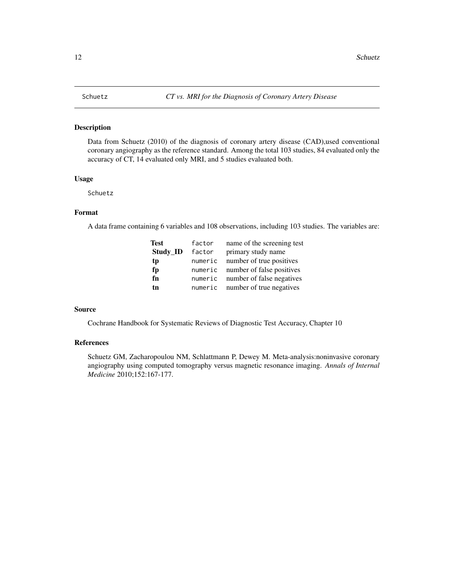# <span id="page-11-0"></span>Description

Data from Schuetz (2010) of the diagnosis of coronary artery disease (CAD),used conventional coronary angiography as the reference standard. Among the total 103 studies, 84 evaluated only the accuracy of CT, 14 evaluated only MRI, and 5 studies evaluated both.

# Usage

Schuetz

# Format

A data frame containing 6 variables and 108 observations, including 103 studies. The variables are:

| Test     | factor  | name of the screening test        |
|----------|---------|-----------------------------------|
| Study_ID | factor  | primary study name                |
| tp       | numeric | number of true positives          |
| fp       |         | numeric number of false positives |
| fn       |         | numeric number of false negatives |
| tn       |         | numeric number of true negatives  |

#### Source

Cochrane Handbook for Systematic Reviews of Diagnostic Test Accuracy, Chapter 10

# References

Schuetz GM, Zacharopoulou NM, Schlattmann P, Dewey M. Meta-analysis:noninvasive coronary angiography using computed tomography versus magnetic resonance imaging. *Annals of Internal Medicine* 2010;152:167-177.